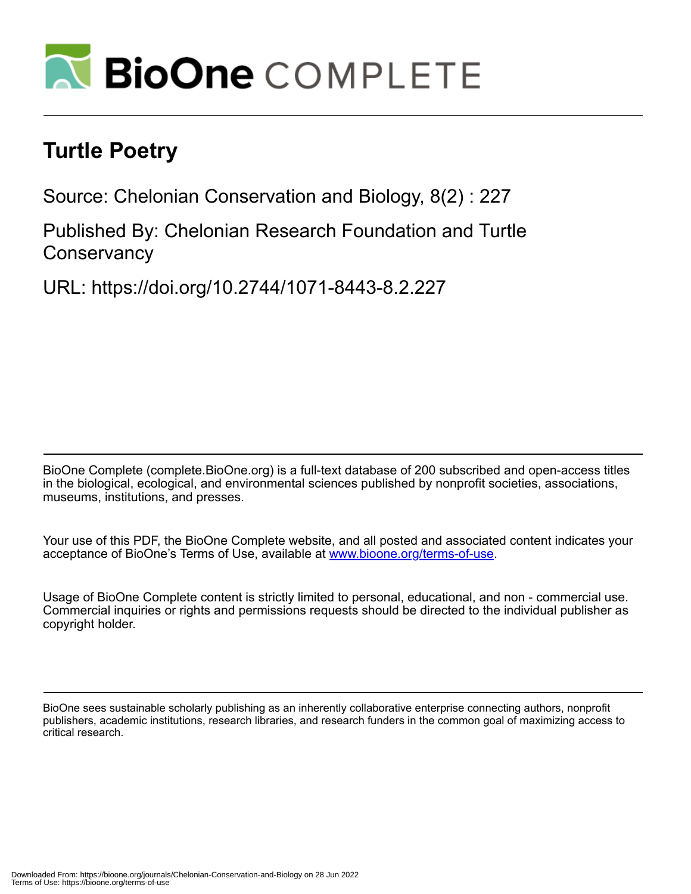

# **Turtle Poetry**

Source: Chelonian Conservation and Biology, 8(2) : 227

Published By: Chelonian Research Foundation and Turtle **Conservancy** 

URL: https://doi.org/10.2744/1071-8443-8.2.227

BioOne Complete (complete.BioOne.org) is a full-text database of 200 subscribed and open-access titles in the biological, ecological, and environmental sciences published by nonprofit societies, associations, museums, institutions, and presses.

Your use of this PDF, the BioOne Complete website, and all posted and associated content indicates your acceptance of BioOne's Terms of Use, available at www.bioone.org/terms-of-use.

Usage of BioOne Complete content is strictly limited to personal, educational, and non - commercial use. Commercial inquiries or rights and permissions requests should be directed to the individual publisher as copyright holder.

BioOne sees sustainable scholarly publishing as an inherently collaborative enterprise connecting authors, nonprofit publishers, academic institutions, research libraries, and research funders in the common goal of maximizing access to critical research.